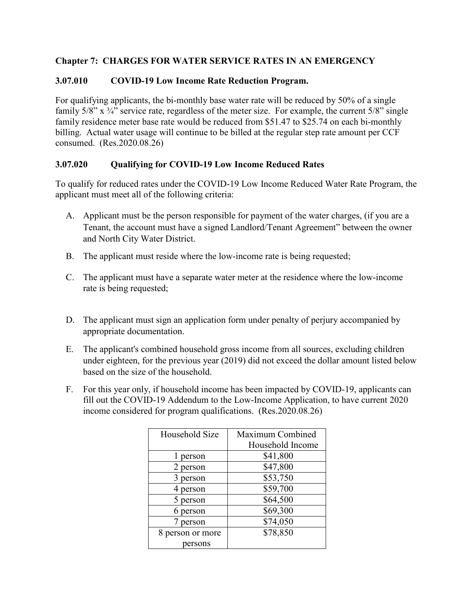## **Chapter 7: CHARGES FOR WATER SERVICE RATES IN AN EMERGENCY**

## **3.07.010 COVID-19 Low Income Rate Reduction Program.**

For qualifying applicants, the bi-monthly base water rate will be reduced by 50% of a single family  $5/8$ " x  $\frac{3}{4}$ " service rate, regardless of the meter size. For example, the current  $5/8$ " single family residence meter base rate would be reduced from \$51.47 to \$25.74 on each bi-monthly billing. Actual water usage will continue to be billed at the regular step rate amount per CCF consumed. (Res.2020.08.26)

## **3.07.020 Qualifying for COVID-19 Low Income Reduced Rates**

To qualify for reduced rates under the COVID-19 Low Income Reduced Water Rate Program, the applicant must meet all of the following criteria:

- A. Applicant must be the person responsible for payment of the water charges, (if you are a Tenant, the account must have a signed Landlord/Tenant Agreement" between the owner and North City Water District.
- B. The applicant must reside where the low-income rate is being requested;
- C. The applicant must have a separate water meter at the residence where the low-income rate is being requested;
- D. The applicant must sign an application form under penalty of perjury accompanied by appropriate documentation.
- E. The applicant's combined household gross income from all sources, excluding children under eighteen, for the previous year (2019) did not exceed the dollar amount listed below based on the size of the household.
- F. For this year only, if household income has been impacted by COVID-19, applicants can fill out the COVID-19 Addendum to the Low-Income Application, to have current 2020 income considered for program qualifications. (Res.2020.08.26)

| Household Size   | Maximum Combined |
|------------------|------------------|
|                  | Household Income |
| l person         | \$41,800         |
| 2 person         | \$47,800         |
| person<br>3      | \$53,750         |
| person           | \$59,700         |
| 5 person         | \$64,500         |
| 6 person         | \$69,300         |
| person           | \$74,050         |
| 8 person or more | \$78,850         |
| persons          |                  |